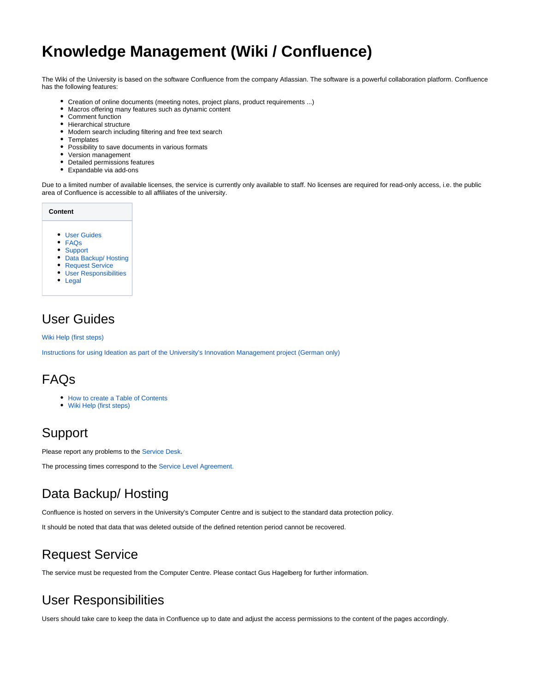# **Knowledge Management (Wiki / Confluence)**

The Wiki of the University is based on the software Confluence from the company Atlassian. The software is a powerful collaboration platform. Confluence has the following features:

- Creation of online documents (meeting notes, project plans, product requirements ...)
- $\bullet$ Macros offering many features such as dynamic content
- $\bullet$ Comment function  $\bullet$
- Hierarchical structure
- Modern search including filtering and free text search
- Templates
- Possibility to save documents in various formats
- Version management
- Detailed permissions features
- Expandable via add-ons

Due to a limited number of available licenses, the service is currently only available to staff. No licenses are required for read-only access, i.e. the public area of Confluence is accessible to all affiliates of the university.

| Content |                              |
|---------|------------------------------|
|         |                              |
|         | <b>User Guides</b>           |
|         | FAQs                         |
|         | <b>Support</b>               |
|         | Data Backup/ Hosting         |
|         | <b>Request Service</b>       |
|         | <b>User Responsibilities</b> |

- [Legal](#page-0-6)
- 

#### <span id="page-0-0"></span>User Guides

[Wiki Help \(first steps\)](https://wiki.reutlingen-university.de/pages/viewpage.action?pageId=35818676)

[Instructions for using Ideation as part of the University's Innovation Management project \(German only\)](https://wiki.reutlingen-university.de/download/attachments/12845413/Ideation_Kurzanleitung_Vers09.pdf?version=1&modificationDate=1551338175664&api=v2)

#### <span id="page-0-1"></span>FAQs

- [How to create a Table of Contents](https://wiki.reutlingen-university.de/display/IS/How+to+create+a+Table+of+Contents)
- [Wiki Help \(first steps\)](https://wiki.reutlingen-university.de/pages/viewpage.action?pageId=35818676)

#### <span id="page-0-2"></span>Support

Please report any problems to the [Service Desk.](https://www.reutlingen-university.de/en/while-studying/learning-centre/service-desk-consultations-and-courses/service-desk/)

The processing times correspond to the [Service Level Agreement.](https://wiki.reutlingen-university.de/pages/viewpage.action?pageId=35818666)

## <span id="page-0-3"></span>Data Backup/ Hosting

Confluence is hosted on servers in the University's Computer Centre and is subject to the standard data protection policy.

It should be noted that data that was deleted outside of the defined retention period cannot be recovered.

### <span id="page-0-4"></span>Request Service

The service must be requested from the Computer Centre. Please contact Gus Hagelberg for further information.

## <span id="page-0-5"></span>User Responsibilities

<span id="page-0-6"></span>Users should take care to keep the data in Confluence up to date and adjust the access permissions to the content of the pages accordingly.